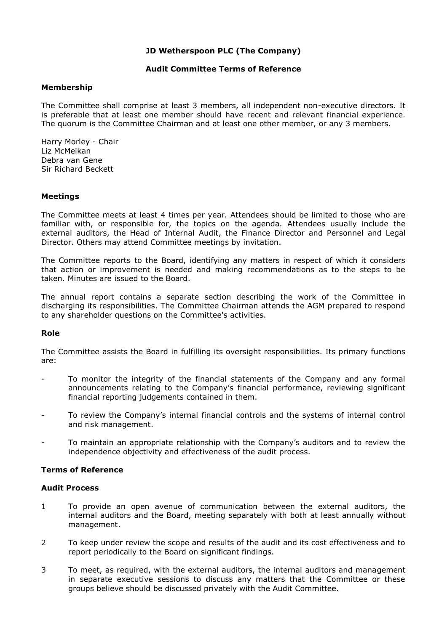## **JD Wetherspoon PLC (The Company)**

#### **Audit Committee Terms of Reference**

## **Membership**

The Committee shall comprise at least 3 members, all independent non-executive directors. It is preferable that at least one member should have recent and relevant financial experience. The quorum is the Committee Chairman and at least one other member, or any 3 members.

Harry Morley - Chair Liz McMeikan Debra van Gene Sir Richard Beckett

## **Meetings**

The Committee meets at least 4 times per year. Attendees should be limited to those who are familiar with, or responsible for, the topics on the agenda*.* Attendees usually include the external auditors, the Head of Internal Audit, the Finance Director and Personnel and Legal Director. Others may attend Committee meetings by invitation.

The Committee reports to the Board, identifying any matters in respect of which it considers that action or improvement is needed and making recommendations as to the steps to be taken. Minutes are issued to the Board.

The annual report contains a separate section describing the work of the Committee in discharging its responsibilities. The Committee Chairman attends the AGM prepared to respond to any shareholder questions on the Committee's activities.

## **Role**

The Committee assists the Board in fulfilling its oversight responsibilities. Its primary functions are:

- To monitor the integrity of the financial statements of the Company and any formal announcements relating to the Company's financial performance, reviewing significant financial reporting judgements contained in them.
- To review the Company's internal financial controls and the systems of internal control and risk management.
- To maintain an appropriate relationship with the Company's auditors and to review the independence objectivity and effectiveness of the audit process.

## **Terms of Reference**

## **Audit Process**

- 1 To provide an open avenue of communication between the external auditors, the internal auditors and the Board, meeting separately with both at least annually without management.
- 2 To keep under review the scope and results of the audit and its cost effectiveness and to report periodically to the Board on significant findings.
- 3 To meet, as required, with the external auditors, the internal auditors and management in separate executive sessions to discuss any matters that the Committee or these groups believe should be discussed privately with the Audit Committee.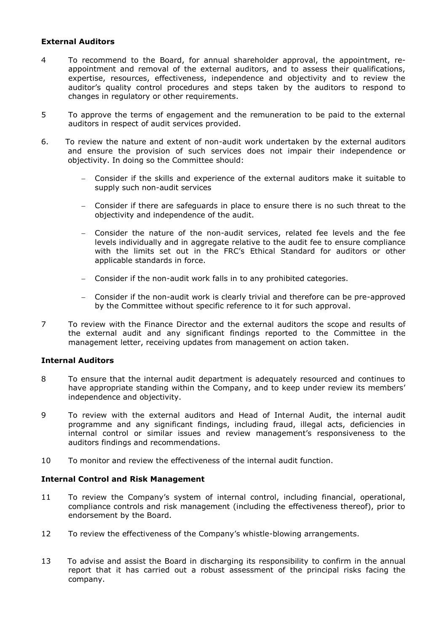## **External Auditors**

- 4 To recommend to the Board, for annual shareholder approval, the appointment, reappointment and removal of the external auditors, and to assess their qualifications, expertise, resources, effectiveness, independence and objectivity and to review the auditor's quality control procedures and steps taken by the auditors to respond to changes in regulatory or other requirements.
- 5 To approve the terms of engagement and the remuneration to be paid to the external auditors in respect of audit services provided.
- 6. To review the nature and extent of non-audit work undertaken by the external auditors and ensure the provision of such services does not impair their independence or objectivity. In doing so the Committee should:
	- Consider if the skills and experience of the external auditors make it suitable to supply such non-audit services
	- Consider if there are safeguards in place to ensure there is no such threat to the objectivity and independence of the audit.
	- Consider the nature of the non-audit services, related fee levels and the fee levels individually and in aggregate relative to the audit fee to ensure compliance with the limits set out in the FRC's Ethical Standard for auditors or other applicable standards in force.
	- Consider if the non-audit work falls in to any prohibited categories.
	- Consider if the non-audit work is clearly trivial and therefore can be pre-approved by the Committee without specific reference to it for such approval.
- 7 To review with the Finance Director and the external auditors the scope and results of the external audit and any significant findings reported to the Committee in the management letter, receiving updates from management on action taken.

## **Internal Auditors**

- 8 To ensure that the internal audit department is adequately resourced and continues to have appropriate standing within the Company, and to keep under review its members' independence and objectivity.
- 9 To review with the external auditors and Head of Internal Audit, the internal audit programme and any significant findings, including fraud, illegal acts, deficiencies in internal control or similar issues and review management's responsiveness to the auditors findings and recommendations.
- 10 To monitor and review the effectiveness of the internal audit function.

## **Internal Control and Risk Management**

- 11 To review the Company's system of internal control, including financial, operational, compliance controls and risk management (including the effectiveness thereof), prior to endorsement by the Board.
- 12 To review the effectiveness of the Company's whistle-blowing arrangements.
- 13 To advise and assist the Board in discharging its responsibility to confirm in the annual report that it has carried out a robust assessment of the principal risks facing the company.